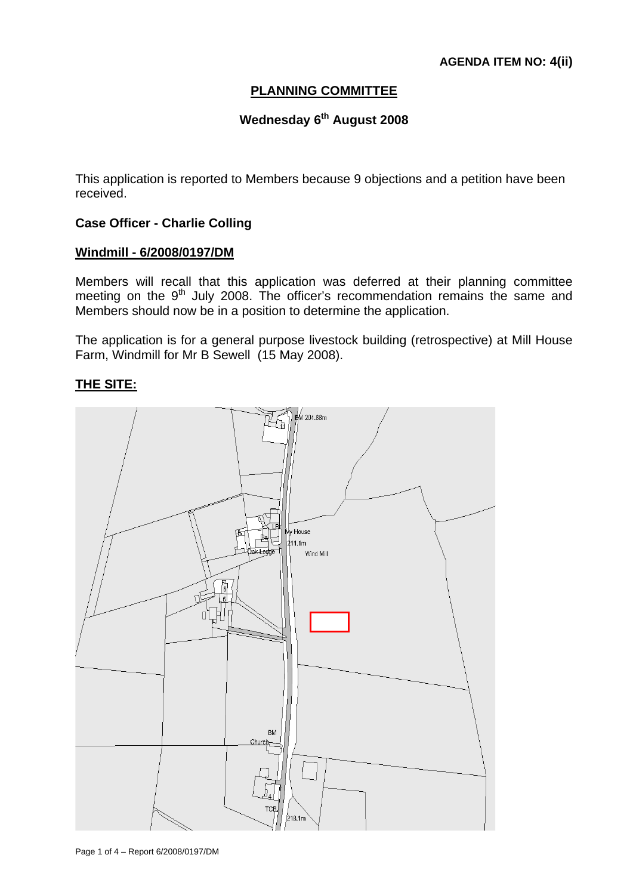# **PLANNING COMMITTEE**

# **Wednesday 6th August 2008**

This application is reported to Members because 9 objections and a petition have been received.

### **Case Officer - Charlie Colling**

# **Windmill - 6/2008/0197/DM**

Members will recall that this application was deferred at their planning committee meeting on the  $9<sup>th</sup>$  July 2008. The officer's recommendation remains the same and Members should now be in a position to determine the application.

The application is for a general purpose livestock building (retrospective) at Mill House Farm, Windmill for Mr B Sewell (15 May 2008).

## **THE SITE:**



Page 1 of 4 – Report 6/2008/0197/DM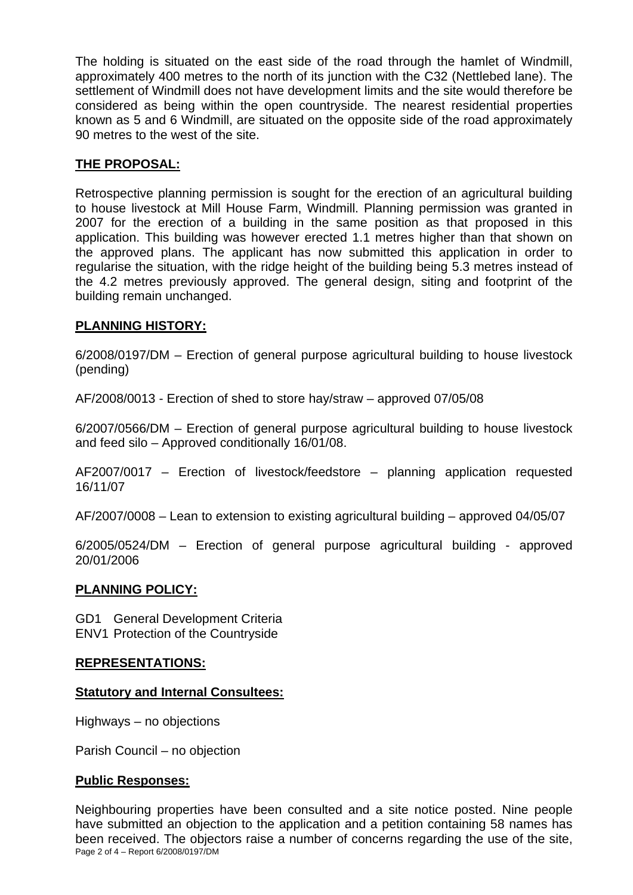The holding is situated on the east side of the road through the hamlet of Windmill, approximately 400 metres to the north of its junction with the C32 (Nettlebed lane). The settlement of Windmill does not have development limits and the site would therefore be considered as being within the open countryside. The nearest residential properties known as 5 and 6 Windmill, are situated on the opposite side of the road approximately 90 metres to the west of the site.

# **THE PROPOSAL:**

Retrospective planning permission is sought for the erection of an agricultural building to house livestock at Mill House Farm, Windmill. Planning permission was granted in 2007 for the erection of a building in the same position as that proposed in this application. This building was however erected 1.1 metres higher than that shown on the approved plans. The applicant has now submitted this application in order to regularise the situation, with the ridge height of the building being 5.3 metres instead of the 4.2 metres previously approved. The general design, siting and footprint of the building remain unchanged.

# **PLANNING HISTORY:**

6/2008/0197/DM – Erection of general purpose agricultural building to house livestock (pending)

AF/2008/0013 - Erection of shed to store hay/straw – approved 07/05/08

6/2007/0566/DM – Erection of general purpose agricultural building to house livestock and feed silo – Approved conditionally 16/01/08.

AF2007/0017 – Erection of livestock/feedstore – planning application requested 16/11/07

AF/2007/0008 – Lean to extension to existing agricultural building – approved 04/05/07

6/2005/0524/DM – Erection of general purpose agricultural building - approved 20/01/2006

#### **PLANNING POLICY:**

GD1 General Development Criteria ENV1 Protection of the Countryside

#### **REPRESENTATIONS:**

#### **Statutory and Internal Consultees:**

Highways – no objections

Parish Council – no objection

## **Public Responses:**

Page 2 of 4 – Report 6/2008/0197/DM Neighbouring properties have been consulted and a site notice posted. Nine people have submitted an objection to the application and a petition containing 58 names has been received. The objectors raise a number of concerns regarding the use of the site,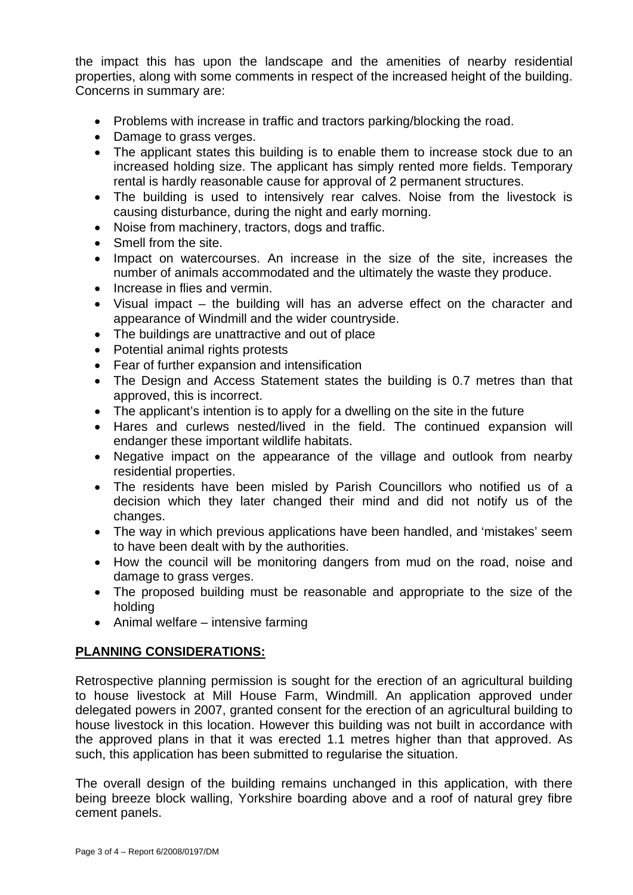the impact this has upon the landscape and the amenities of nearby residential properties, along with some comments in respect of the increased height of the building. Concerns in summary are:

- Problems with increase in traffic and tractors parking/blocking the road.
- Damage to grass verges.
- The applicant states this building is to enable them to increase stock due to an increased holding size. The applicant has simply rented more fields. Temporary rental is hardly reasonable cause for approval of 2 permanent structures.
- The building is used to intensively rear calves. Noise from the livestock is causing disturbance, during the night and early morning.
- Noise from machinery, tractors, dogs and traffic.
- Smell from the site.
- Impact on watercourses. An increase in the size of the site, increases the number of animals accommodated and the ultimately the waste they produce.
- Increase in flies and vermin.
- Visual impact the building will has an adverse effect on the character and appearance of Windmill and the wider countryside.
- The buildings are unattractive and out of place
- Potential animal rights protests
- Fear of further expansion and intensification
- The Design and Access Statement states the building is 0.7 metres than that approved, this is incorrect.
- The applicant's intention is to apply for a dwelling on the site in the future
- Hares and curlews nested/lived in the field. The continued expansion will endanger these important wildlife habitats.
- Negative impact on the appearance of the village and outlook from nearby residential properties.
- The residents have been misled by Parish Councillors who notified us of a decision which they later changed their mind and did not notify us of the changes.
- The way in which previous applications have been handled, and 'mistakes' seem to have been dealt with by the authorities.
- How the council will be monitoring dangers from mud on the road, noise and damage to grass verges.
- The proposed building must be reasonable and appropriate to the size of the holding
- Animal welfare intensive farming

## **PLANNING CONSIDERATIONS:**

Retrospective planning permission is sought for the erection of an agricultural building to house livestock at Mill House Farm, Windmill. An application approved under delegated powers in 2007, granted consent for the erection of an agricultural building to house livestock in this location. However this building was not built in accordance with the approved plans in that it was erected 1.1 metres higher than that approved. As such, this application has been submitted to regularise the situation.

The overall design of the building remains unchanged in this application, with there being breeze block walling, Yorkshire boarding above and a roof of natural grey fibre cement panels.